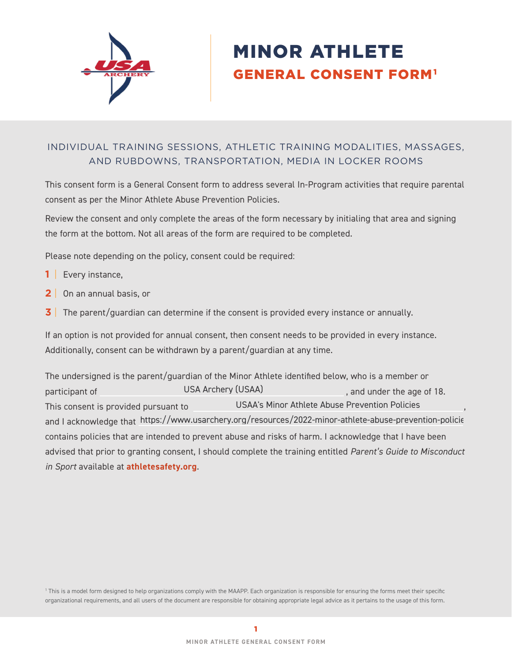

# MINOR ATHLETE GENERAL CONSENT FORM1

# INDIVIDUAL TRAINING SESSIONS, ATHLETIC TRAINING MODALITIES, MASSAGES, AND RUBDOWNS, TRANSPORTATION, MEDIA IN LOCKER ROOMS

This consent form is a General Consent form to address several In-Program activities that require parental consent as per the Minor Athlete Abuse Prevention Policies.

Review the consent and only complete the areas of the form necessary by initialing that area and signing the form at the bottom. Not all areas of the form are required to be completed.

Please note depending on the policy, consent could be required:

- **1** | Every instance,
- **2** | On an annual basis, or
- **3** The parent/guardian can determine if the consent is provided every instance or annually.

If an option is not provided for annual consent, then consent needs to be provided in every instance. Additionally, consent can be withdrawn by a parent/guardian at any time.

The undersigned is the parent/guardian of the Minor Athlete identified below, who is a member or participant of **Example 20** USA Archery (USAA) **participant of the age of 18.** This consent is provided pursuant to **COLOG** USAA's Minor Athlete Abuse Prevention Policies and I acknowledge that https://www.usarchery.org/resources/2022-minor-athlete-abuse-prevention-policie contains policies that are intended to prevent abuse and risks of harm. I acknowledge that I have been advised that prior to granting consent, I should complete the training entitled *Parent's Guide to Misconduct in Sport* available at **[athletesafety.org](https://www.athletesafety.org/)**. USA Archery (USAA)

1 This is a model form designed to help organizations comply with the MAAPP. Each organization is responsible for ensuring the forms meet their specific organizational requirements, and all users of the document are responsible for obtaining appropriate legal advice as it pertains to the usage of this form.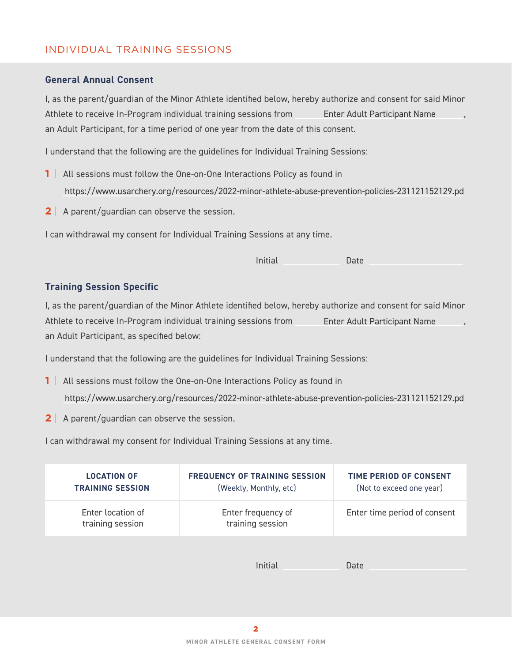## INDIVIDUAL TRAINING SESSIONS

#### **General Annual Consent**

I, as the parent/guardian of the Minor Athlete identified below, hereby authorize and consent for said Minor Athlete to receive In-Program individual training sessions from Filter Adult Participant Name (1988), an Adult Participant, for a time period of one year from the date of this consent.

I understand that the following are the guidelines for Individual Training Sessions:

- **1** | All sessions must follow the One-on-One Interactions Policy as found in https://www.usarchery.org/resources/2022-minor-athlete-abuse-prevention-policies-231121152129.pd
- **2** A parent/guardian can observe the session.

I can withdrawal my consent for Individual Training Sessions at any time.

| Initial | Date |
|---------|------|
|         |      |
|         |      |

#### **Training Session Specific**

I, as the parent/guardian of the Minor Athlete identified below, hereby authorize and consent for said Minor Athlete to receive In-Program individual training sessions from , an Adult Participant, as specified below: Enter Adult Participant Name

I understand that the following are the guidelines for Individual Training Sessions:

- **1** | All sessions must follow the One-on-One Interactions Policy as found in https://www.usarchery.org/resources/2022-minor-athlete-abuse-prevention-policies-231121152129.pd
- **2** A parent/quardian can observe the session.

I can withdrawal my consent for Individual Training Sessions at any time.

| Enter location of<br>Enter frequency of<br>training session<br>training session | Enter time period of consent |
|---------------------------------------------------------------------------------|------------------------------|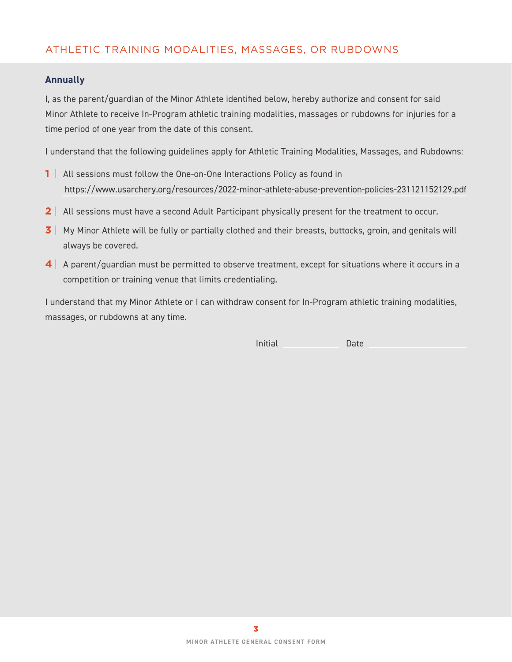# ATHLETIC TRAINING MODALITIES, MASSAGES, OR RUBDOWNS

## **Annually**

I, as the parent/guardian of the Minor Athlete identified below, hereby authorize and consent for said Minor Athlete to receive In-Program athletic training modalities, massages or rubdowns for injuries for a time period of one year from the date of this consent.

I understand that the following guidelines apply for Athletic Training Modalities, Massages, and Rubdowns:

- **1** | All sessions must follow the One-on-One Interactions Policy as found in https://www.usarchery.org/resources/2022-minor-athlete-abuse-prevention-policies-231121152129.pdf
- **2** All sessions must have a second Adult Participant physically present for the treatment to occur.
- **3** | My Minor Athlete will be fully or partially clothed and their breasts, buttocks, groin, and genitals will always be covered.
- **4** | A parent/guardian must be permitted to observe treatment, except for situations where it occurs in a competition or training venue that limits credentialing.

I understand that my Minor Athlete or I can withdraw consent for In-Program athletic training modalities, massages, or rubdowns at any time.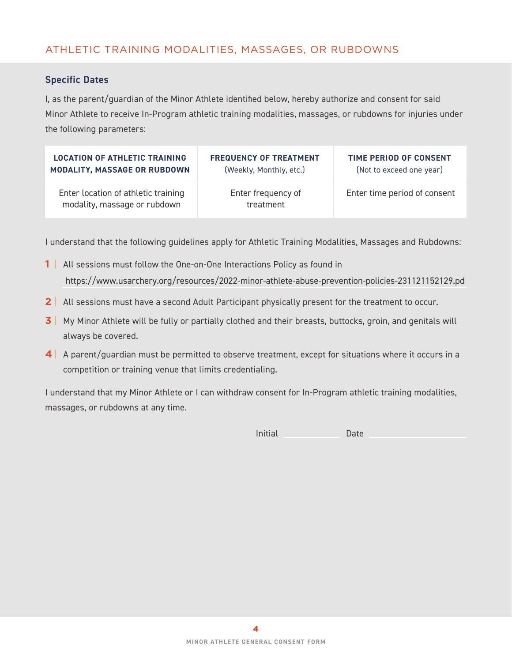# ATHLETIC TRAINING MODALITIES, MASSAGES, OR RUBDOWNS

#### **Specific Dates**

I, as the parent/guardian of the Minor Athlete identified below, hereby authorize and consent for said Minor Athlete to receive In-Program athletic training modalities, massages, or rubdowns for injuries under the following parameters:

| <b>LOCATION OF ATHLETIC TRAINING</b>                                | <b>FREQUENCY OF TREATMENT</b>   | TIME PERIOD OF CONSENT       |
|---------------------------------------------------------------------|---------------------------------|------------------------------|
| MODALITY, MASSAGE OR RUBDOWN                                        | (Weekly, Monthly, etc.)         | (Not to exceed one year)     |
| Enter location of athletic training<br>modality, massage or rubdown | Enter frequency of<br>treatment | Enter time period of consent |

I understand that the following guidelines apply for Athletic Training Modalities, Massages and Rubdowns:

- **1** All sessions must follow the One-on-One Interactions Policy as found in https://www.usarchery.org/resources/2022-minor-athlete-abuse-prevention-policies-231121152129.pdf
- **2** | All sessions must have a second Adult Participant physically present for the treatment to occur.
- **3** My Minor Athlete will be fully or partially clothed and their breasts, buttocks, groin, and genitals will always be covered.
- **4** | A parent/guardian must be permitted to observe treatment, except for situations where it occurs in a competition or training venue that limits credentialing.

I understand that my Minor Athlete or I can withdraw consent for In-Program athletic training modalities, massages, or rubdowns at any time.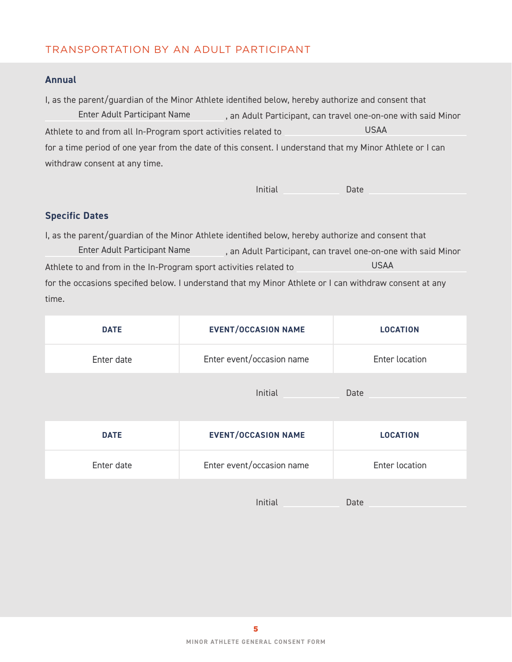# TRANSPORTATION BY AN ADULT PARTICIPANT

## **Annual**

I, as the parent/guardian of the Minor Athlete identified below, hereby authorize and consent that Enter Adult Participant Name (and Adult Participant, can travel one-on-one with said Minor Athlete to and from all In-Program sport activities related to for a time period of one year from the date of this consent. I understand that my Minor Athlete or I can withdraw consent at any time. USAA

Initial Date

## **Specific Dates**

I, as the parent/guardian of the Minor Athlete identified below, hereby authorize and consent that , an Adult Participant, can travel one-on-one with said Minor Athlete to and from in the In-Program sport activities related to for the occasions specified below. I understand that my Minor Athlete or I can withdraw consent at any time. Enter Adult Participant Name USAA

| <b>DATE</b> | <b>EVENT/OCCASION NAME</b>                                                                                      | <b>LOCATION</b> |
|-------------|-----------------------------------------------------------------------------------------------------------------|-----------------|
| Enter date  | Enter event/occasion name                                                                                       | Enter location  |
|             | Initial                                                                                                         | Date            |
|             | the contract of the contract of the contract of the contract of the contract of the contract of the contract of |                 |

| <b>DATE</b> | <b>EVENT/OCCASION NAME</b> | <b>LOCATION</b> |
|-------------|----------------------------|-----------------|
| Enter date  | Enter event/occasion name  | Enter location  |
|             |                            |                 |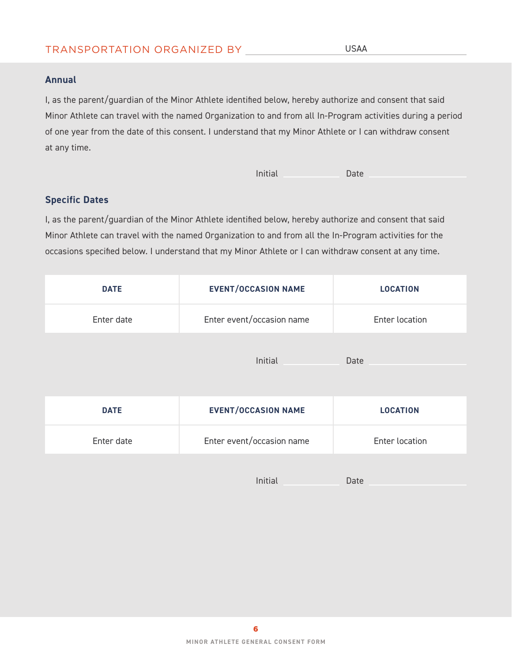## TRANSPORTATION ORGANIZED BY

#### **Annual**

I, as the parent/guardian of the Minor Athlete identified below, hereby authorize and consent that said Minor Athlete can travel with the named Organization to and from all In-Program activities during a period of one year from the date of this consent. I understand that my Minor Athlete or I can withdraw consent at any time.

Initial Date

## **Specific Dates**

I, as the parent/guardian of the Minor Athlete identified below, hereby authorize and consent that said Minor Athlete can travel with the named Organization to and from all the In-Program activities for the occasions specified below. I understand that my Minor Athlete or I can withdraw consent at any time.

| <b>DATE</b> | <b>EVENT/OCCASION NAME</b> | <b>LOCATION</b>       |
|-------------|----------------------------|-----------------------|
| Enter date  | Enter event/occasion name  | <b>Enter location</b> |
|             | Initial                    | Date                  |
| <b>DATE</b> | <b>EVENT/OCCASION NAME</b> | <b>LOCATION</b>       |
| Enter date  | Enter event/occasion name  | Enter location        |
|             | Initial                    | Date                  |